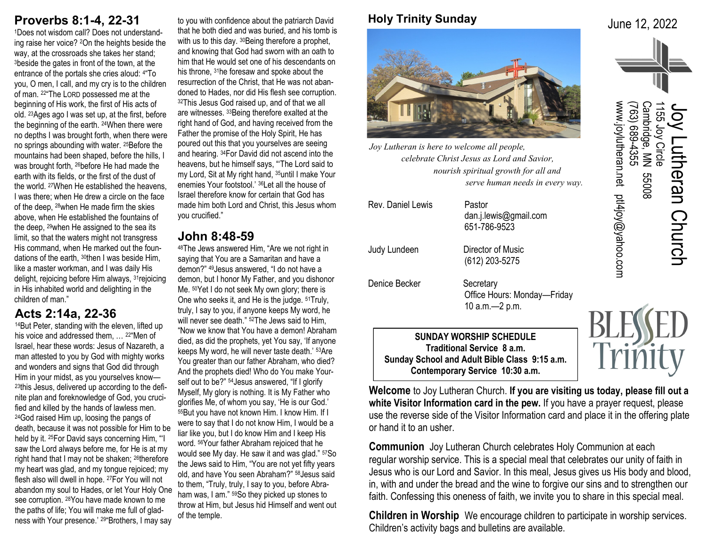# **Proverbs 8:1-4, 22-31**

1Does not wisdom call? Does not understanding raise her voice? 2On the heights beside the way, at the crossroads she takes her stand; <sup>3</sup>beside the gates in front of the town, at the entrance of the portals she cries aloud: <sup>4</sup> "To you, O men, I call, and my cry is to the children of man. 22"The LORD possessed me at the beginning of His work, the first of His acts of old. 23Ages ago I was set up, at the first, before the beginning of the earth. 24When there were no depths I was brought forth, when there were no springs abounding with water. 25Before the mountains had been shaped, before the hills, I was brought forth, <sup>26</sup>before He had made the earth with its fields, or the first of the dust of the world. 27When He established the heavens, I was there; when He drew a circle on the face of the deep, 28when He made firm the skies above, when He established the fountains of the deep, 29when He assigned to the sea its limit, so that the waters might not transgress His command, when He marked out the foundations of the earth, 30then I was beside Him, like a master workman, and I was daily His delight, rejoicing before Him always, 31rejoicing in His inhabited world and delighting in the children of man."

### **Acts 2:14a, 22-36**

<sup>14</sup>But Peter, standing with the eleven, lifted up his voice and addressed them, ... <sup>22"</sup>Men of Israel, hear these words: Jesus of Nazareth, a man attested to you by God with mighty works and wonders and signs that God did through Him in your midst, as you yourselves know— 23this Jesus, delivered up according to the definite plan and foreknowledge of God, you crucified and killed by the hands of lawless men. <sup>24</sup>God raised Him up, loosing the pangs of death, because it was not possible for Him to be held by it. 25For David says concerning Him, "'I saw the Lord always before me, for He is at my right hand that I may not be shaken; <sup>26</sup>therefore my heart was glad, and my tongue rejoiced; my flesh also will dwell in hope. 27For You will not abandon my soul to Hades, or let Your Holy One see corruption. 28You have made known to me the paths of life; You will make me full of gladness with Your presence.' 29"Brothers, I may say

to you with confidence about the patriarch David that he both died and was buried, and his tomb is with us to this day. <sup>30</sup> Being therefore a prophet, and knowing that God had sworn with an oath to him that He would set one of his descendants on his throne, 31he foresaw and spoke about the resurrection of the Christ, that He was not abandoned to Hades, nor did His flesh see corruption. <sup>32</sup>This Jesus God raised up, and of that we all are witnesses. 33Being therefore exalted at the right hand of God, and having received from the Father the promise of the Holy Spirit, He has poured out this that you yourselves are seeing and hearing. 34For David did not ascend into the heavens, but he himself says, "'The Lord said to my Lord, Sit at My right hand, 35until I make Your enemies Your footstool.' 36Let all the house of Israel therefore know for certain that God has made him both Lord and Christ, this Jesus whom you crucified."

## **John 8:48-59**

<sup>48</sup>The Jews answered Him, "Are we not right in saying that You are a Samaritan and have a demon?" 49Jesus answered, "I do not have a demon, but I honor My Father, and you dishonor Me. 50Yet I do not seek My own glory; there is One who seeks it, and He is the judge. 51Truly, truly, I say to you, if anyone keeps My word, he will never see death." <sup>52</sup>The Jews said to Him, "Now we know that You have a demon! Abraham died, as did the prophets, yet You say, 'If anyone keeps My word, he will never taste death.' 53Are You greater than our father Abraham, who died? And the prophets died! Who do You make Yourself out to be?" <sup>54</sup> Jesus answered, "If I glorify Myself, My glory is nothing. It is My Father who glorifies Me, of whom you say, 'He is our God.' <sup>55</sup>But you have not known Him. I know Him. If I were to say that I do not know Him, I would be a liar like you, but I do know Him and I keep His word. 56Your father Abraham rejoiced that he would see My day. He saw it and was glad." 57So the Jews said to Him, "You are not yet fifty years old, and have You seen Abraham?" 58Jesus said to them, "Truly, truly, I say to you, before Abraham was, I am." 59So they picked up stones to throw at Him, but Jesus hid Himself and went out of the temple.

## **Holy Trinity Sunday**

June 12, 2022



*Joy Lutheran is here to welcome all people, celebrate Christ Jesus as Lord and Savior, nourish spiritual growth for all and serve human needs in every way.*

| Rev. Daniel Lewis                                                             | Pastor<br>dan.j.lewis@gmail.com<br>651-786-9523                |  |
|-------------------------------------------------------------------------------|----------------------------------------------------------------|--|
| Judy Lundeen                                                                  | Director of Music<br>(612) 203-5275                            |  |
| Denice Becker                                                                 | Secretary<br>Office Hours: Monday—Friday<br>10 $a.m. - 2 p.m.$ |  |
| <b>SUNDAY WORSHIP SCHEDULE</b><br>Traditional Service 8 a.m.<br>AI I IIIKA AI |                                                                |  |

**Sunday School and Adult Bible Class 9:15 a.m. Contemporary Service 10:30 a.m.**

**Welcome** to Joy Lutheran Church. **If you are visiting us today, please fill out a white Visitor Information card in the pew.** If you have a prayer request, please use the reverse side of the Visitor Information card and place it in the offering plate or hand it to an usher.

**Communion** Joy Lutheran Church celebrates Holy Communion at each regular worship service. This is a special meal that celebrates our unity of faith in Jesus who is our Lord and Savior. In this meal, Jesus gives us His body and blood, in, with and under the bread and the wine to forgive our sins and to strengthen our faith. Confessing this oneness of faith, we invite you to share in this special meal.

**Children in Worship** We encourage children to participate in worship services. Children's activity bags and bulletins are available.